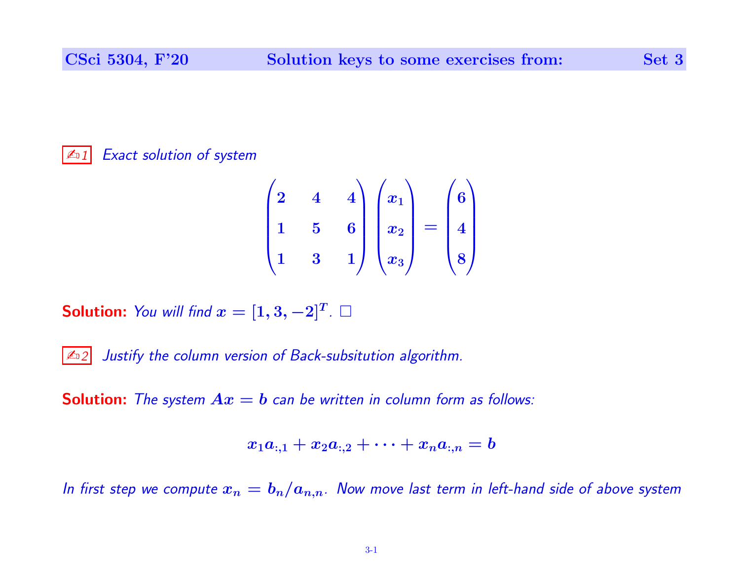## $\mathbb{Z}$ <sup>1</sup> Exact solution of system

$$
\begin{pmatrix} 2 & 4 & 4 \ 1 & 5 & 6 \ 1 & 3 & 1 \end{pmatrix} \begin{pmatrix} x_1 \ x_2 \ x_3 \end{pmatrix} = \begin{pmatrix} 6 \ 4 \ 8 \end{pmatrix}
$$

**Solution:** You will find  $x = [1,3,-2]^T$ .  $\Box$ 

 $\vert$   $\mathbb{Z}_2$  Justify the column version of Back-subsitution algorithm.

**Solution:** The system  $Ax = b$  can be written in column form as follows:

$$
x_1a_{:,1}+x_2a_{:,2}+\cdots+x_na_{:,n}=b
$$

In first step we compute  $x_n = b_n/a_{n,n}$ . Now move last term in left-hand side of above system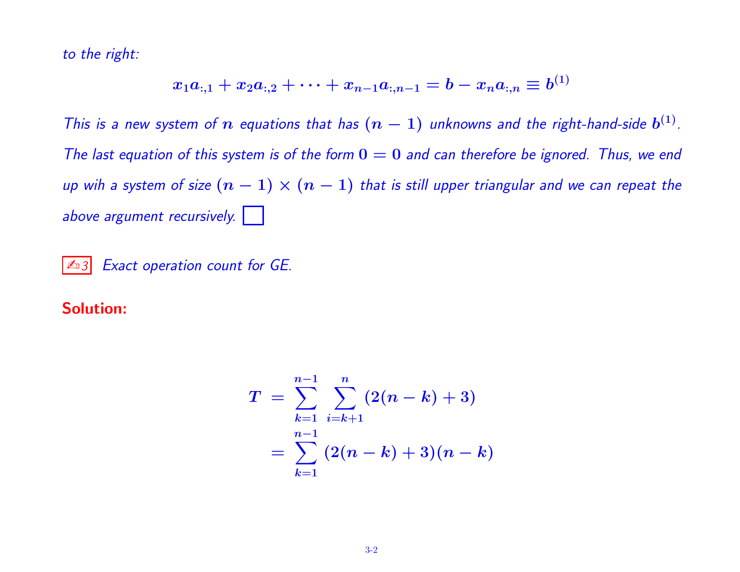to the right:

$$
x_1a_{:,1}+x_2a_{:,2}+\cdots+x_{n-1}a_{:,n-1}=b-x_na_{:,n}\equiv b^{(1)}
$$

This is a new system of  $n$  equations that has  $(n-1)$  unknowns and the right-hand-side  $b^{(1)}$ . The last equation of this system is of the form  $0 = 0$  and can therefore be ignored. Thus, we end up wih a system of size  $(n - 1) \times (n - 1)$  that is still upper triangular and we can repeat the above argument recursively.

 $\boxed{\mathbb{Z}_3}$  Exact operation count for GE.

## Solution:

$$
\begin{array}{l} T \ = \ \displaystyle \sum\limits_{k=1}^{n-1} \ \displaystyle \sum\limits_{i=k+1}^{n} (2(n-k)+3) \\ \ = \ \displaystyle \sum\limits_{k=1}^{n-1} \ (2(n-k)+3)(n-k) \end{array}
$$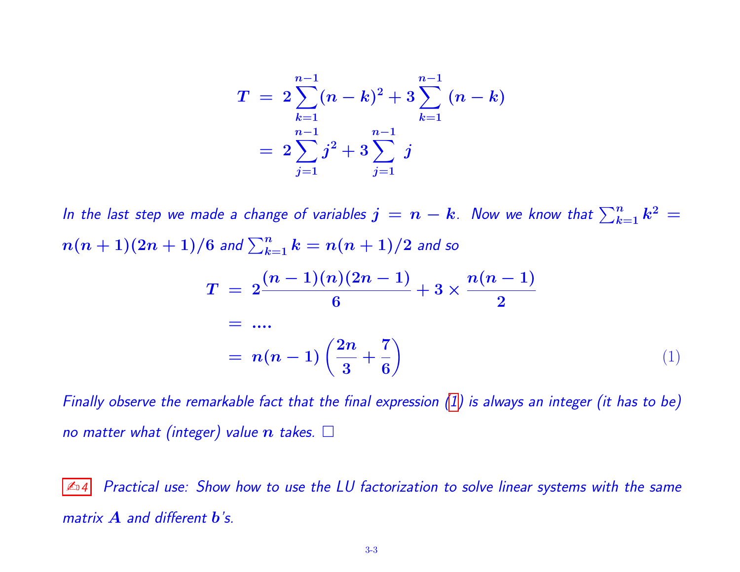$$
\begin{array}{l} T \ = \ 2 \sum\limits_{k=1}^{n-1} (n-k)^2 + 3 \sum\limits_{k=1}^{n-1} \ (n-k) \\qquad \ \ = \ 2 \sum\limits_{j=1}^{n-1} j^2 + 3 \sum\limits_{j=1}^{n-1} \ j \end{array}
$$

In the last step we made a change of variables  $j\,=\,n-k$  . Now we know that  $\sum_{k=1}^n k^2\,=$  $n(n+1)(2n+1)/6$  and  $\sum_{k=1}^n k=n(n+1)/2$  and so

<span id="page-2-0"></span>
$$
T = 2\frac{(n-1)(n)(2n-1)}{6} + 3 \times \frac{n(n-1)}{2}
$$
  
= ....  
= n(n-1)  $\left(\frac{2n}{3} + \frac{7}{6}\right)$  (1)

Finally observe the remarkable fact that the final expression  $(1)$  is always an integer (it has to be) no matter what (integer) value  $n$  takes.  $\square$ 

 $\mathbb{Z}_4$  Practical use: Show how to use the LU factorization to solve linear systems with the same matrix  $\bf{A}$  and different  $\bf{b}$ 's.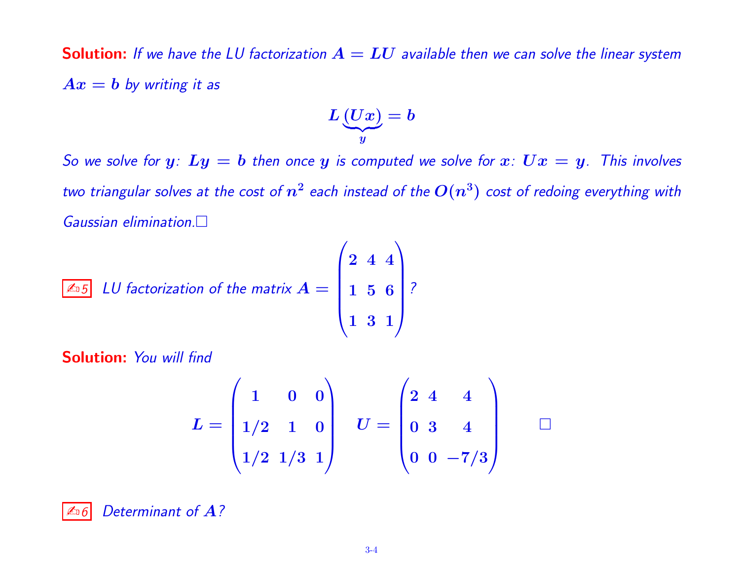**Solution:** If we have the LU factorization  $A = LU$  available then we can solve the linear system  $Ax = b$  by writing it as

$$
L\underbrace{(Ux)}_y=b
$$

So we solve for  $y: Ly = b$  then once y is computed we solve for  $x: Ux = y$ . This involves two triangular solves at the cost of  $n^2$  each instead of the  $O(n^3)$  cost of redoing everything with Gaussian elimination.

$$
\boxed{\text{4.5}\quad LU\text{ factorization of the matrix }A = \begin{pmatrix} 2 & 4 & 4 \\ 1 & 5 & 6 \\ 1 & 3 & 1 \end{pmatrix}}?
$$

Solution: You will find

$$
L = \begin{pmatrix} 1 & 0 & 0 \\ 1/2 & 1 & 0 \\ 1/2 & 1/3 & 1 \end{pmatrix} \quad U = \begin{pmatrix} 2 & 4 & 4 \\ 0 & 3 & 4 \\ 0 & 0 & -7/3 \end{pmatrix} \quad \Box
$$

 $\triangle$  6 Determinant of A?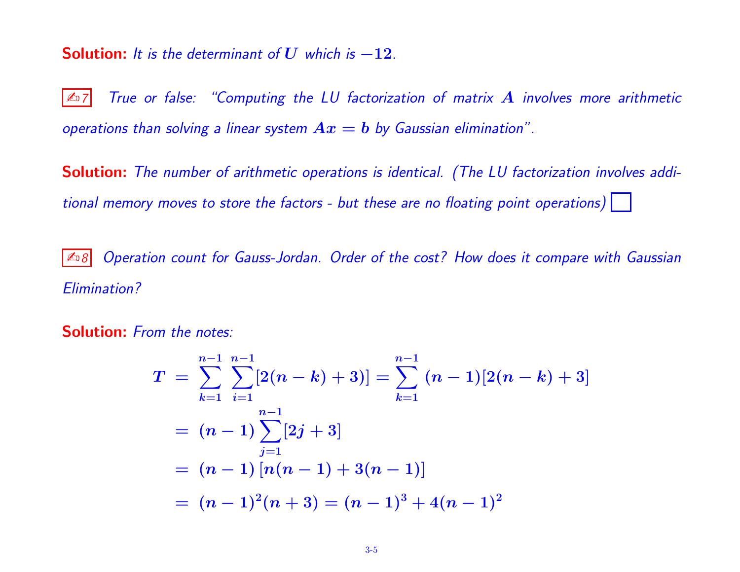## **Solution:** It is the determinant of U which is  $-12$ .

 $\mathbb{Z}_7$  True or false: "Computing the LU factorization of matrix  $A$  involves more arithmetic operations than solving a linear system  $Ax = b$  by Gaussian elimination".

Solution: The number of arithmetic operations is identical. (The LU factorization involves additional memory moves to store the factors - but these are no floating point operations) |

 $|\mathcal{L}_{B}$  Operation count for Gauss-Jordan. Order of the cost? How does it compare with Gaussian Elimination?

Solution: From the notes:

$$
T = \sum_{k=1}^{n-1} \sum_{i=1}^{n-1} [2(n-k)+3)] = \sum_{k=1}^{n-1} (n-1)[2(n-k)+3]
$$
  
=  $(n-1) \sum_{j=1}^{n-1} [2j+3]$   
=  $(n-1) [n(n-1)+3(n-1)]$   
=  $(n-1)^2(n+3) = (n-1)^3 + 4(n-1)^2$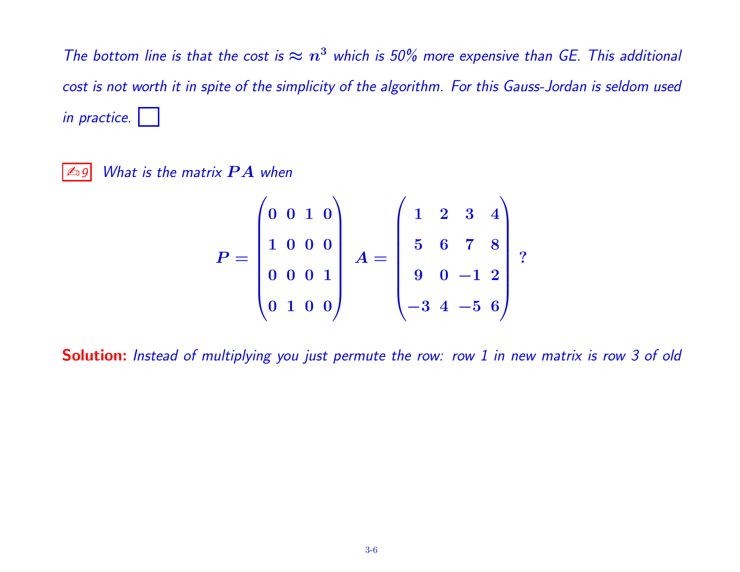The bottom line is that the cost is  $\approx n^3$  which is 50% more expensive than GE. This additional cost is not worth it in spite of the simplicity of the algorithm. For this Gauss-Jordan is seldom used in practice.

 $\boxed{\mathbb{Z}_9}$  What is the matrix  $\bm{P}\bm{A}$  when

$$
P = \begin{pmatrix} 0 & 0 & 1 & 0 \\ 1 & 0 & 0 & 0 \\ 0 & 0 & 0 & 1 \\ 0 & 1 & 0 & 0 \end{pmatrix} A = \begin{pmatrix} 1 & 2 & 3 & 4 \\ 5 & 6 & 7 & 8 \\ 9 & 0 & -1 & 2 \\ -3 & 4 & -5 & 6 \end{pmatrix} ?
$$

Solution: Instead of multiplying you just permute the row: row 1 in new matrix is row 3 of old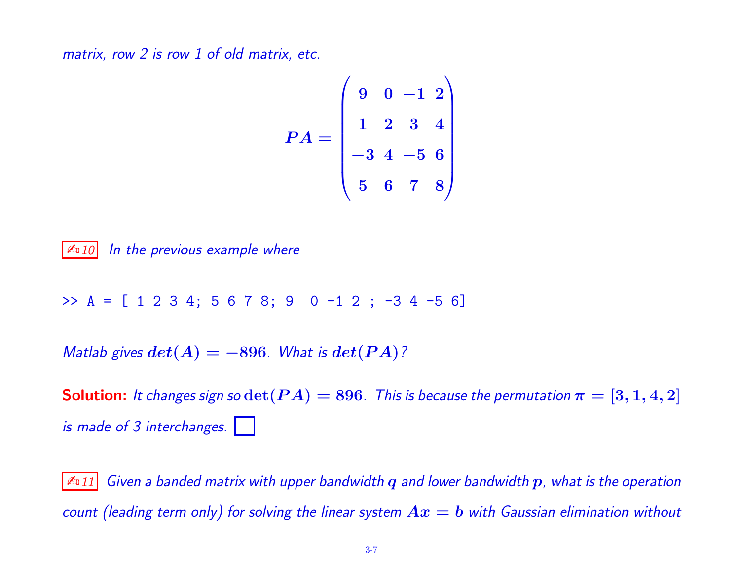matrix, row 2 is row 1 of old matrix, etc.

$$
PA = \begin{pmatrix} 9 & 0 & -1 & 2 \\ 1 & 2 & 3 & 4 \\ -3 & 4 & -5 & 6 \\ 5 & 6 & 7 & 8 \end{pmatrix}
$$

 $\mathbb{Z}$  10 In the previous example where

>> A = [ 1 2 3 4; 5 6 7 8; 9 0 -1 2 ; -3 4 -5 6]

Matlab gives  $det(A) = -896$ . What is  $det(PA)$ ?

**Solution:** It changes sign so  $\det(P A) = 896$ . This is because the permutation  $\pi = [3, 1, 4, 2]$ is made of 3 interchanges.

 $\vert$   $\mathbb{Z}_1$ 11 Given a banded matrix with upper bandwidth q and lower bandwidth  $p$ , what is the operation count (leading term only) for solving the linear system  $Ax = b$  with Gaussian elimination without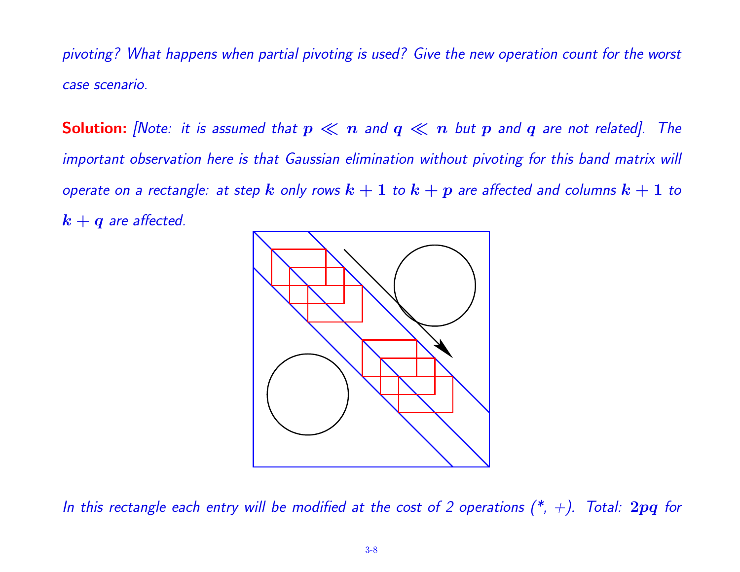pivoting? What happens when partial pivoting is used? Give the new operation count for the worst case scenario.

**Solution:** [Note: it is assumed that  $p \ll n$  and  $q \ll n$  but p and q are not related]. The important observation here is that Gaussian elimination without pivoting for this band matrix will operate on a rectangle: at step  $k$  only rows  $k+1$  to  $k+p$  are affected and columns  $k+1$  to  $k + q$  are affected.



In this rectangle each entry will be modified at the cost of 2 operations  $(*, +)$ . Total: 2pq for